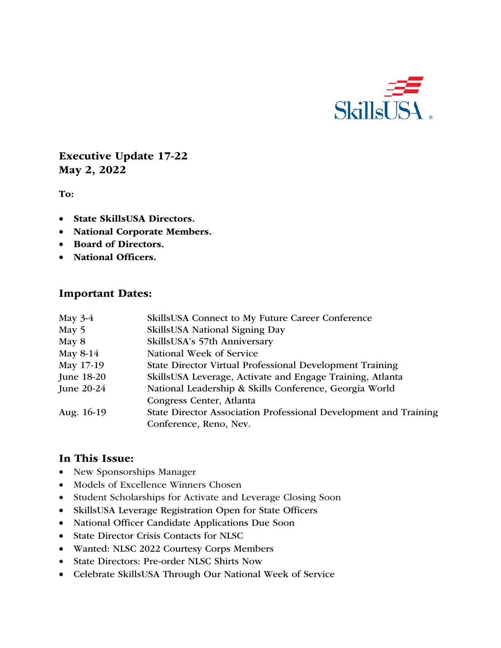

Executive Update 17-22 May 2, 2022

To:

- State SkillsUSA Directors.
- National Corporate Members.
- Board of Directors.
- National Officers.

#### Important Dates:

| May $3-4$  | SkillsUSA Connect to My Future Career Conference                 |
|------------|------------------------------------------------------------------|
| May 5      | SkillsUSA National Signing Day                                   |
| May 8      | SkillsUSA's 57th Anniversary                                     |
| May 8-14   | National Week of Service                                         |
| May 17-19  | State Director Virtual Professional Development Training         |
| June 18-20 | SkillsUSA Leverage, Activate and Engage Training, Atlanta        |
| June 20-24 | National Leadership & Skills Conference, Georgia World           |
|            | Congress Center, Atlanta                                         |
| Aug. 16-19 | State Director Association Professional Development and Training |
|            | Conference, Reno, Nev.                                           |

#### In This Issue:

- New Sponsorships Manager
- Models of Excellence Winners Chosen
- Student Scholarships for Activate and Leverage Closing Soon
- SkillsUSA Leverage Registration Open for State Officers
- National Officer Candidate Applications Due Soon
- State Director Crisis Contacts for NLSC
- Wanted: NLSC 2022 Courtesy Corps Members
- State Directors: Pre-order NLSC Shirts Now
- Celebrate SkillsUSA Through Our National Week of Service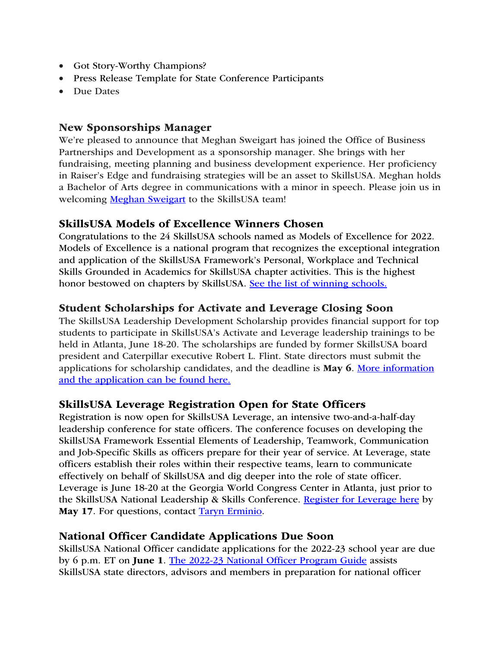- Got Story-Worthy Champions?
- Press Release Template for State Conference Participants
- Due Dates

### New Sponsorships Manager

We're pleased to announce that Meghan Sweigart has joined the Office of Business Partnerships and Development as a sponsorship manager. She brings with her fundraising, meeting planning and business development experience. Her proficiency in Raiser's Edge and fundraising strategies will be an asset to SkillsUSA. Meghan holds a Bachelor of Arts degree in communications with a minor in speech. Please join us in welcoming Meghan Sweigart to the SkillsUSA team!

### SkillsUSA Models of Excellence Winners Chosen

Congratulations to the 24 SkillsUSA schools named as Models of Excellence for 2022. Models of Excellence is a national program that recognizes the exceptional integration and application of the SkillsUSA Framework's Personal, Workplace and Technical Skills Grounded in Academics for SkillsUSA chapter activities. This is the highest honor bestowed on chapters by SkillsUSA. See the list of winning schools.

### Student Scholarships for Activate and Leverage Closing Soon

The SkillsUSA Leadership Development Scholarship provides financial support for top students to participate in SkillsUSA's Activate and Leverage leadership trainings to be held in Atlanta, June 18-20. The scholarships are funded by former SkillsUSA board president and Caterpillar executive Robert L. Flint. State directors must submit the applications for scholarship candidates, and the deadline is May 6. More information and the application can be found here.

### SkillsUSA Leverage Registration Open for State Officers

Registration is now open for SkillsUSA Leverage, an intensive two-and-a-half-day leadership conference for state officers. The conference focuses on developing the SkillsUSA Framework Essential Elements of Leadership, Teamwork, Communication and Job-Specific Skills as officers prepare for their year of service. At Leverage, state officers establish their roles within their respective teams, learn to communicate effectively on behalf of SkillsUSA and dig deeper into the role of state officer. Leverage is June 18-20 at the Georgia World Congress Center in Atlanta, just prior to the SkillsUSA National Leadership & Skills Conference. Register for Leverage here by May 17. For questions, contact Taryn Erminio.

### National Officer Candidate Applications Due Soon

SkillsUSA National Officer candidate applications for the 2022-23 school year are due by 6 p.m. ET on June 1. The 2022-23 National Officer Program Guide assists SkillsUSA state directors, advisors and members in preparation for national officer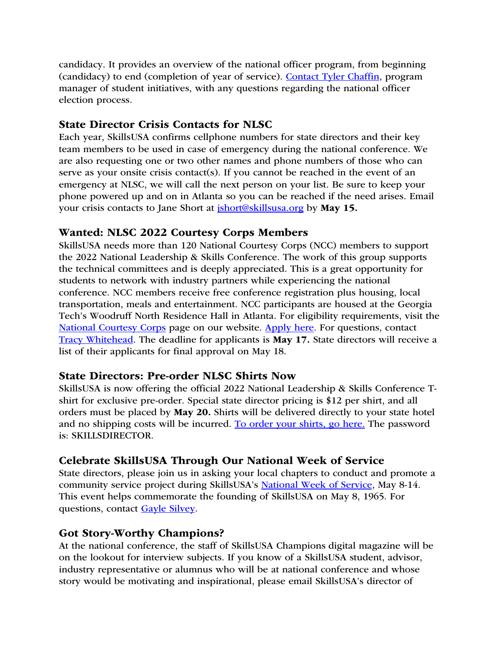candidacy. It provides an overview of the national officer program, from beginning (candidacy) to end (completion of year of service). Contact Tyler Chaffin, program manager of student initiatives, with any questions regarding the national officer election process.

## State Director Crisis Contacts for NLSC

Each year, SkillsUSA confirms cellphone numbers for state directors and their key team members to be used in case of emergency during the national conference. We are also requesting one or two other names and phone numbers of those who can serve as your onsite crisis contact(s). If you cannot be reached in the event of an emergency at NLSC, we will call the next person on your list. Be sure to keep your phone powered up and on in Atlanta so you can be reached if the need arises. Email your crisis contacts to Jane Short at *ishort@skillsusa.org* by May 15.

## Wanted: NLSC 2022 Courtesy Corps Members

SkillsUSA needs more than 120 National Courtesy Corps (NCC) members to support the 2022 National Leadership & Skills Conference. The work of this group supports the technical committees and is deeply appreciated. This is a great opportunity for students to network with industry partners while experiencing the national conference. NCC members receive free conference registration plus housing, local transportation, meals and entertainment. NCC participants are housed at the Georgia Tech's Woodruff North Residence Hall in Atlanta. For eligibility requirements, visit the National Courtesy Corps page on our website. Apply here. For questions, contact Tracy Whitehead. The deadline for applicants is May 17. State directors will receive a list of their applicants for final approval on May 18.

### State Directors: Pre-order NLSC Shirts Now

SkillsUSA is now offering the official 2022 National Leadership & Skills Conference Tshirt for exclusive pre-order. Special state director pricing is \$12 per shirt, and all orders must be placed by May 20. Shirts will be delivered directly to your state hotel and no shipping costs will be incurred. To order your shirts, go here. The password is: SKILLSDIRECTOR.

# Celebrate SkillsUSA Through Our National Week of Service

State directors, please join us in asking your local chapters to conduct and promote a community service project during SkillsUSA's National Week of Service, May 8-14. This event helps commemorate the founding of SkillsUSA on May 8, 1965. For questions, contact Gayle Silvey.

# Got Story-Worthy Champions?

At the national conference, the staff of SkillsUSA Champions digital magazine will be on the lookout for interview subjects. If you know of a SkillsUSA student, advisor, industry representative or alumnus who will be at national conference and whose story would be motivating and inspirational, please email SkillsUSA's director of